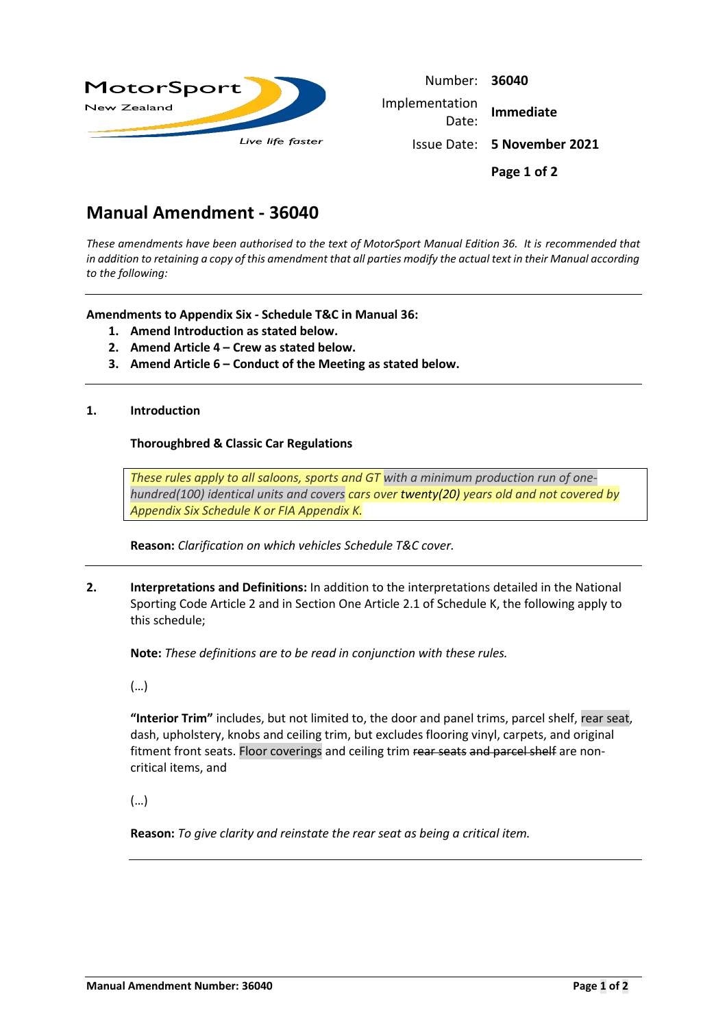

| Number: 36040           |                                    |  |
|-------------------------|------------------------------------|--|
| Implementation<br>Date: | <b>Immediate</b>                   |  |
|                         | <b>Issue Date: 5 November 2021</b> |  |
|                         | Page 1 of 2                        |  |

# **Manual Amendment - 36040**

*These amendments have been authorised to the text of MotorSport Manual Edition 36. It is recommended that in addition to retaining a copy of this amendment that all parties modify the actual text in their Manual according to the following:*

**Amendments to Appendix Six - Schedule T&C in Manual 36:**

- **1. Amend Introduction as stated below.**
- **2. Amend Article 4 – Crew as stated below.**
- **3. Amend Article 6 – Conduct of the Meeting as stated below.**

#### **1. Introduction**

#### **Thoroughbred & Classic Car Regulations**

*These rules apply to all saloons, sports and GT with a minimum production run of onehundred(100) identical units and covers cars over twenty(20) years old and not covered by Appendix Six [Schedule K](http://manual.motorsport.org.nz/index.php/knowledgebase/36-6-03-schedule-k/) or [FIA Appendix K.](https://www.fia.com/historic-regulations)*

**Reason:** *Clarification on which vehicles Schedule T&C cover.*

**2. Interpretations and Definitions:** In addition to the interpretations detailed in the National Sporting Code Article 2 and in Section One Article 2.1 of Schedule K, the following apply to this schedule;

**Note:** *These definitions are to be read in conjunction with these rules.*

(…)

**"Interior Trim"** includes, but not limited to, the door and panel trims, parcel shelf, rear seat, dash, upholstery, knobs and ceiling trim, but excludes flooring vinyl, carpets, and original fitment front seats. Floor coverings and ceiling trim rear seats and parcel shelf are noncritical items, and

(…)

**Reason:** *To give clarity and reinstate the rear seat as being a critical item.*